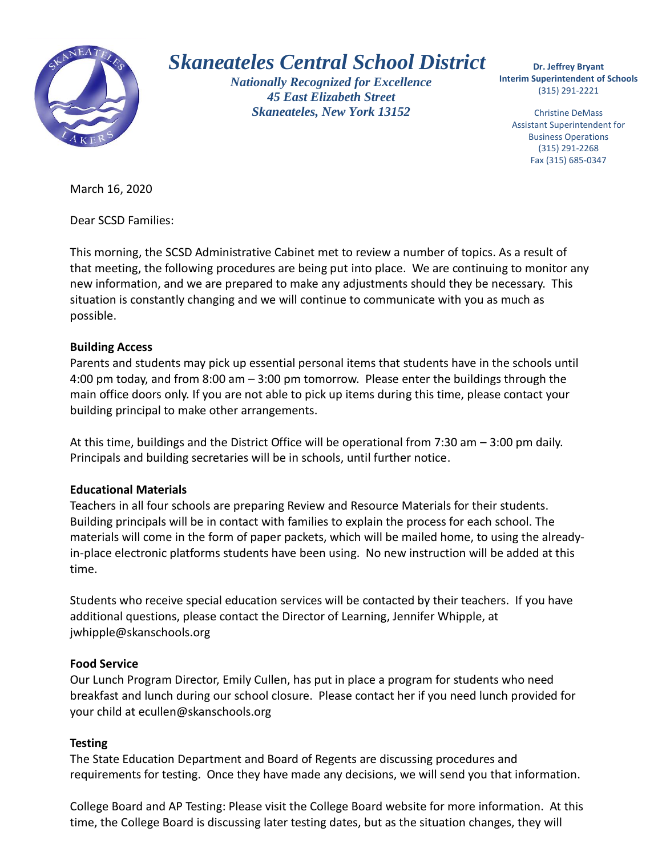

# *Skaneateles Central School District*

*Nationally Recognized for Excellence 45 East Elizabeth Street Skaneateles, New York 13152*

 **Interim Superintendent of Schools Dr. Jeffrey Bryant** (315) 291-2221

Christine DeMass Assistant Superintendent for Business Operations (315) 291-2268 Fax (315) 685-0347

March 16, 2020

Dear SCSD Families:

This morning, the SCSD Administrative Cabinet met to review a number of topics. As a result of that meeting, the following procedures are being put into place. We are continuing to monitor any new information, and we are prepared to make any adjustments should they be necessary. This situation is constantly changing and we will continue to communicate with you as much as possible.

# **Building Access**

Parents and students may pick up essential personal items that students have in the schools until 4:00 pm today, and from 8:00 am – 3:00 pm tomorrow. Please enter the buildings through the main office doors only. If you are not able to pick up items during this time, please contact your building principal to make other arrangements.

At this time, buildings and the District Office will be operational from 7:30 am – 3:00 pm daily. Principals and building secretaries will be in schools, until further notice.

#### **Educational Materials**

Teachers in all four schools are preparing Review and Resource Materials for their students. Building principals will be in contact with families to explain the process for each school. The materials will come in the form of paper packets, which will be mailed home, to using the alreadyin-place electronic platforms students have been using. No new instruction will be added at this time.

Students who receive special education services will be contacted by their teachers. If you have additional questions, please contact the Director of Learning, Jennifer Whipple, at jwhipple@skanschools.org

#### **Food Service**

Our Lunch Program Director, Emily Cullen, has put in place a program for students who need breakfast and lunch during our school closure. Please contact her if you need lunch provided for your child at ecullen@skanschools.org

# **Testing**

The State Education Department and Board of Regents are discussing procedures and requirements for testing. Once they have made any decisions, we will send you that information.

College Board and AP Testing: Please visit the College Board website for more information. At this time, the College Board is discussing later testing dates, but as the situation changes, they will